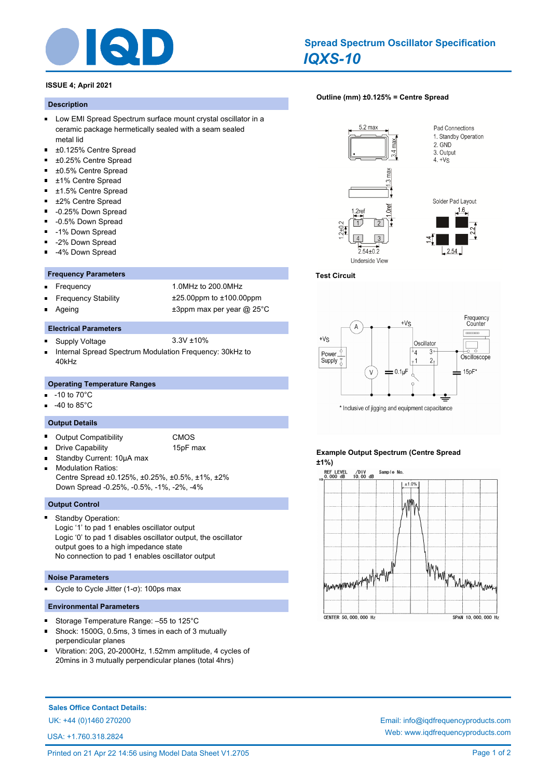

# **ISSUE 4; April 2021**

#### **Description**

- **Low EMI Spread Spectrum surface mount crystal oscillator in a** ceramic package hermetically sealed with a seam sealed metal lid
- $\blacksquare$ ±0.125% Centre Spread
- $\blacksquare$ ±0.25% Centre Spread
- ±0.5% Centre Spread
- ±1% Centre Spread  $\blacksquare$
- ±1.5% Centre Spread  $\blacksquare$
- $\blacksquare$ ±2% Centre Spread
- $\blacksquare$ -0.25% Down Spread
- $\blacksquare$ -0.5% Down Spread
- -1% Down Spread  $\blacksquare$
- -2% Down Spread
- -4% Down Spread Ē

#### **Frequency Parameters**

- 
- 

Frequency 1.0MHz to 200.0MHz Frequency Stability ±25.00ppm to ±100.00ppm Ageing  $\qquad \qquad \pm 3$ ppm max per year @ 25°C

## **Electrical Parameters**

- Supply Voltage 3.3V ±10%
- Internal Spread Spectrum Modulation Frequency: 30kHz to m. 40kHz

#### **Operating Temperature Ranges**

- -10 to 70°C n.
- -40 to 85°C

### **Output Details**

- Output Compatibility **CMOS**
- 

Drive Capability 15pF max

- Standby Current: 10µA max
- Modulation Ratios: Centre Spread ±0.125%, ±0.25%, ±0.5%, ±1%, ±2% Down Spread -0.25%, -0.5%, -1%, -2%, -4%

### **Output Control**

Standby Operation: Logic '1' to pad 1 enables oscillator output Logic '0' to pad 1 disables oscillator output, the oscillator output goes to a high impedance state No connection to pad 1 enables oscillator output

#### **Noise Parameters**

Cycle to Cycle Jitter (1-σ): 100ps max

#### **Environmental Parameters**

- $\blacksquare$ Storage Temperature Range: –55 to 125°C
- Shock: 1500G, 0.5ms, 3 times in each of 3 mutually perpendicular planes
- Vibration: 20G, 20-2000Hz, 1.52mm amplitude, 4 cycles of 20mins in 3 mutually perpendicular planes (total 4hrs)

## **[Outline \(mm\) ±0.125% = Centre Spread](http://www.iqdfrequencyproducts.com/products/search/?type=tcxo-tcvcxo&model=All&product-features=All&package=All&frequency=All&frequency-uom=MHz&frequency-stability=All&temperature-range=All&output=All&voltage=All)**





## **Test Circuit**



## **Example Output Spectrum (Centre Spread ±1%)**



**Sales Office Contact Details:**

UK: +44 (0)1460 270200 Email: info@iqdfrequencyproducts.com

USA: +1.760.318.2824

Web: www.iqdfrequencyproducts.com